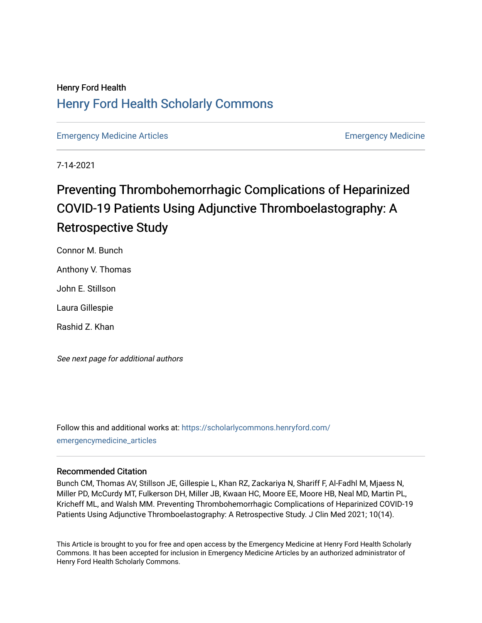# Henry Ford Health [Henry Ford Health Scholarly Commons](https://scholarlycommons.henryford.com/)

[Emergency Medicine Articles](https://scholarlycommons.henryford.com/emergencymedicine_articles) **Emergency Medicine** 

7-14-2021

# Preventing Thrombohemorrhagic Complications of Heparinized COVID-19 Patients Using Adjunctive Thromboelastography: A Retrospective Study

Connor M. Bunch

Anthony V. Thomas

John E. Stillson

Laura Gillespie

Rashid Z. Khan

See next page for additional authors

Follow this and additional works at: [https://scholarlycommons.henryford.com/](https://scholarlycommons.henryford.com/emergencymedicine_articles?utm_source=scholarlycommons.henryford.com%2Femergencymedicine_articles%2F234&utm_medium=PDF&utm_campaign=PDFCoverPages) [emergencymedicine\\_articles](https://scholarlycommons.henryford.com/emergencymedicine_articles?utm_source=scholarlycommons.henryford.com%2Femergencymedicine_articles%2F234&utm_medium=PDF&utm_campaign=PDFCoverPages) 

### Recommended Citation

Bunch CM, Thomas AV, Stillson JE, Gillespie L, Khan RZ, Zackariya N, Shariff F, Al-Fadhl M, Mjaess N, Miller PD, McCurdy MT, Fulkerson DH, Miller JB, Kwaan HC, Moore EE, Moore HB, Neal MD, Martin PL, Kricheff ML, and Walsh MM. Preventing Thrombohemorrhagic Complications of Heparinized COVID-19 Patients Using Adjunctive Thromboelastography: A Retrospective Study. J Clin Med 2021; 10(14).

This Article is brought to you for free and open access by the Emergency Medicine at Henry Ford Health Scholarly Commons. It has been accepted for inclusion in Emergency Medicine Articles by an authorized administrator of Henry Ford Health Scholarly Commons.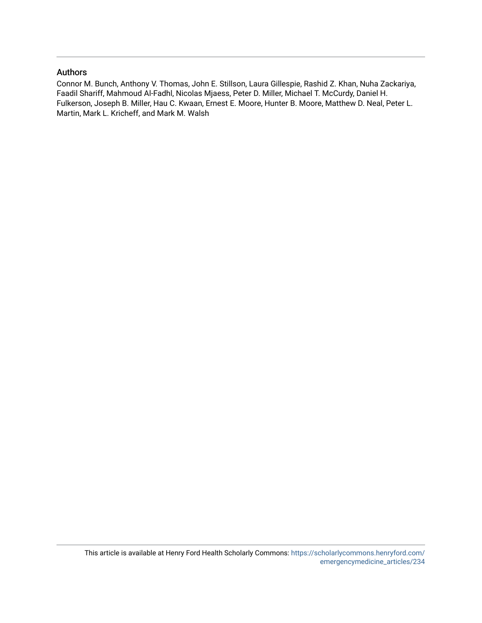## Authors

Connor M. Bunch, Anthony V. Thomas, John E. Stillson, Laura Gillespie, Rashid Z. Khan, Nuha Zackariya, Faadil Shariff, Mahmoud Al-Fadhl, Nicolas Mjaess, Peter D. Miller, Michael T. McCurdy, Daniel H. Fulkerson, Joseph B. Miller, Hau C. Kwaan, Ernest E. Moore, Hunter B. Moore, Matthew D. Neal, Peter L. Martin, Mark L. Kricheff, and Mark M. Walsh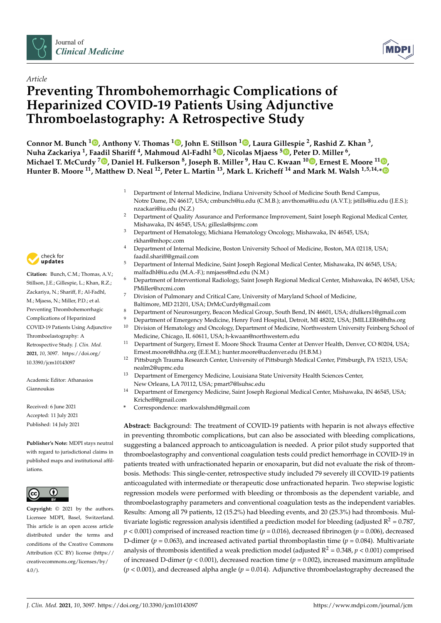



# *Article* **Preventing Thrombohemorrhagic Complications of Heparinized COVID-19 Patients Using Adjunctive Thromboelastography: A Retrospective Study**

**Connor M. Bunch <sup>1</sup> [,](https://orcid.org/0000-0002-8566-7001) Anthony V. Thomas <sup>1</sup> [,](https://orcid.org/0000-0001-9520-9306) John E. Stillson <sup>1</sup> [,](https://orcid.org/0000-0003-3442-2706) Laura Gillespie <sup>2</sup> , Rashid Z. Khan <sup>3</sup> , Nuha Zackariya <sup>1</sup> , Faadil Shariff <sup>4</sup> , Mahmoud Al-Fadhl <sup>5</sup> [,](https://orcid.org/0000-0002-3481-1966) Nicolas Mjaess <sup>5</sup> [,](https://orcid.org/0000-0001-8702-1805) Peter D. Miller <sup>6</sup> , Michael T. McCurdy <sup>7</sup> [,](https://orcid.org/0000-0001-5319-0475) Daniel H. Fulkerson <sup>8</sup> , Joseph B. Miller <sup>9</sup> , Hau C. Kwaan <sup>10</sup> [,](https://orcid.org/0000-0002-5733-6248) Ernest E. Moore <sup>11</sup> [,](https://orcid.org/0000-0002-0419-4848) Hunter B. Moore <sup>11</sup>, Matthew D. Neal <sup>12</sup>, Peter L. Martin <sup>13</sup>, Mark L. Kricheff <sup>14</sup> and Mark M. Walsh 1,5,14,[\\*](https://orcid.org/0000-0002-5795-1144)**

- <sup>1</sup> Department of Internal Medicine, Indiana University School of Medicine South Bend Campus, Notre Dame, IN 46617, USA; cmbunch@iu.edu (C.M.B.); anvthoma@iu.edu (A.V.T.); jstills@iu.edu (J.E.S.); nzackari@iu.edu (N.Z.)
- <sup>2</sup> Department of Quality Assurance and Performance Improvement, Saint Joseph Regional Medical Center, Mishawaka, IN 46545, USA; gillesla@sjrmc.com
- <sup>3</sup> Department of Hematology, Michiana Hematology Oncology, Mishawaka, IN 46545, USA; rkhan@mhopc.com
- <sup>4</sup> Department of Internal Medicine, Boston University School of Medicine, Boston, MA 02118, USA; faadil.shariff@gmail.com
- <sup>5</sup> Department of Internal Medicine, Saint Joseph Regional Medical Center, Mishawaka, IN 46545, USA; malfadhl@iu.edu (M.A.-F.); nmjaess@nd.edu (N.M.)
- <sup>6</sup> Department of Interventional Radiology, Saint Joseph Regional Medical Center, Mishawaka, IN 46545, USA; PMiller@xrcmi.com
- <sup>7</sup> Division of Pulmonary and Critical Care, University of Maryland School of Medicine, Baltimore, MD 21201, USA; DrMcCurdy@gmail.com
- 8 Department of Neurosurgery, Beacon Medical Group, South Bend, IN 46601, USA; dfulkers1@gmail.com
- 9 Department of Emergency Medicine, Henry Ford Hospital, Detroit, MI 48202, USA; JMILLER6@hfhs.org<br>10 Division of Homatology and Ongology Department of Medicine, Northwestern University Feiphers Schoo <sup>10</sup> Division of Hematology and Oncology, Department of Medicine, Northwestern University Feinberg School of
- Medicine, Chicago, IL 60611, USA; h-kwaan@northwestern.edu <sup>11</sup> Department of Surgery, Ernest E. Moore Shock Trauma Center at Denver Health, Denver, CO 80204, USA; Ernest.moore@dhha.org (E.E.M.); hunter.moore@ucdenver.edu (H.B.M.)
- <sup>12</sup> Pittsburgh Trauma Research Center, University of Pittsburgh Medical Center, Pittsburgh, PA 15213, USA; nealm2@upmc.edu
- <sup>13</sup> Department of Emergency Medicine, Louisiana State University Health Sciences Center, New Orleans, LA 70112, USA; pmart7@lsuhsc.edu
- <sup>14</sup> Department of Emergency Medicine, Saint Joseph Regional Medical Center, Mishawaka, IN 46545, USA; Kricheff@gmail.com
- **\*** Correspondence: markwalshmd@gmail.com

**Abstract:** Background: The treatment of COVID-19 patients with heparin is not always effective in preventing thrombotic complications, but can also be associated with bleeding complications, suggesting a balanced approach to anticoagulation is needed. A prior pilot study supported that thromboelastography and conventional coagulation tests could predict hemorrhage in COVID-19 in patients treated with unfractionated heparin or enoxaparin, but did not evaluate the risk of thrombosis. Methods: This single-center, retrospective study included 79 severely ill COVID-19 patients anticoagulated with intermediate or therapeutic dose unfractionated heparin. Two stepwise logistic regression models were performed with bleeding or thrombosis as the dependent variable, and thromboelastography parameters and conventional coagulation tests as the independent variables. Results: Among all 79 patients, 12 (15.2%) had bleeding events, and 20 (25.3%) had thrombosis. Multivariate logistic regression analysis identified a prediction model for bleeding (adjusted  $R^2$  = 0.787, *p* < 0.001) comprised of increased reaction time (*p* = 0.016), decreased fibrinogen (*p* = 0.006), decreased D-dimer ( $p = 0.063$ ), and increased activated partial thromboplastin time ( $p = 0.084$ ). Multivariate analysis of thrombosis identified a weak prediction model (adjusted  $R^2$  = 0.348,  $p$  < 0.001) comprised of increased D-dimer ( $p < 0.001$ ), decreased reaction time ( $p = 0.002$ ), increased maximum amplitude (*p* < 0.001), and decreased alpha angle (*p* = 0.014). Adjunctive thromboelastography decreased the



**Citation:** Bunch, C.M.; Thomas, A.V.; Stillson, J.E.; Gillespie, L.; Khan, R.Z.; Zackariya, N.; Shariff, F.; Al-Fadhl, M.; Mjaess, N.; Miller, P.D.; et al. Preventing Thrombohemorrhagic Complications of Heparinized COVID-19 Patients Using Adjunctive Thromboelastography: A Retrospective Study. *J. Clin. Med.* **2021**, *10*, 3097. [https://doi.org/](https://doi.org/10.3390/jcm10143097) [10.3390/jcm10143097](https://doi.org/10.3390/jcm10143097)

Academic Editor: Athanasios Giannoukas

Received: 6 June 2021 Accepted: 11 July 2021 Published: 14 July 2021

**Publisher's Note:** MDPI stays neutral with regard to jurisdictional claims in published maps and institutional affiliations.



**Copyright:** © 2021 by the authors. Licensee MDPI, Basel, Switzerland. This article is an open access article distributed under the terms and conditions of the Creative Commons Attribution (CC BY) license (https:/[/](https://creativecommons.org/licenses/by/4.0/) [creativecommons.org/licenses/by/](https://creativecommons.org/licenses/by/4.0/)  $4.0/$ ).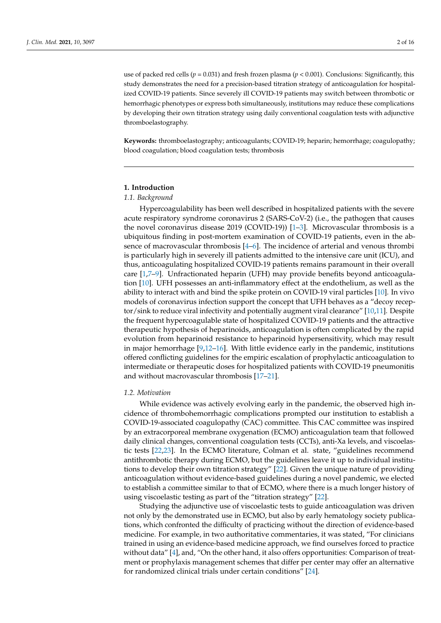use of packed red cells (*p* = 0.031) and fresh frozen plasma (*p* < 0.001). Conclusions: Significantly, this study demonstrates the need for a precision-based titration strategy of anticoagulation for hospitalized COVID-19 patients. Since severely ill COVID-19 patients may switch between thrombotic or hemorrhagic phenotypes or express both simultaneously, institutions may reduce these complications by developing their own titration strategy using daily conventional coagulation tests with adjunctive thromboelastography.

**Keywords:** thromboelastography; anticoagulants; COVID-19; heparin; hemorrhage; coagulopathy; blood coagulation; blood coagulation tests; thrombosis

#### **1. Introduction**

#### *1.1. Background*

Hypercoagulability has been well described in hospitalized patients with the severe acute respiratory syndrome coronavirus 2 (SARS-CoV-2) (i.e., the pathogen that causes the novel coronavirus disease 2019 (COVID-19)) [\[1–](#page-15-0)[3\]](#page-15-1). Microvascular thrombosis is a ubiquitous finding in post-mortem examination of COVID-19 patients, even in the absence of macrovascular thrombosis [\[4](#page-15-2)[–6\]](#page-15-3). The incidence of arterial and venous thrombi is particularly high in severely ill patients admitted to the intensive care unit (ICU), and thus, anticoagulating hospitalized COVID-19 patients remains paramount in their overall care [\[1](#page-15-0)[,7–](#page-15-4)[9\]](#page-15-5). Unfractionated heparin (UFH) may provide benefits beyond anticoagulation [\[10\]](#page-15-6). UFH possesses an anti-inflammatory effect at the endothelium, as well as the ability to interact with and bind the spike protein on COVID-19 viral particles [\[10\]](#page-15-6). In vivo models of coronavirus infection support the concept that UFH behaves as a "decoy recep-tor/sink to reduce viral infectivity and potentially augment viral clearance" [\[10](#page-15-6)[,11\]](#page-15-7). Despite the frequent hypercoagulable state of hospitalized COVID-19 patients and the attractive therapeutic hypothesis of heparinoids, anticoagulation is often complicated by the rapid evolution from heparinoid resistance to heparinoid hypersensitivity, which may result in major hemorrhage  $[9,12-16]$  $[9,12-16]$  $[9,12-16]$ . With little evidence early in the pandemic, institutions offered conflicting guidelines for the empiric escalation of prophylactic anticoagulation to intermediate or therapeutic doses for hospitalized patients with COVID-19 pneumonitis and without macrovascular thrombosis [\[17](#page-15-10)[–21\]](#page-15-11).

#### *1.2. Motivation*

While evidence was actively evolving early in the pandemic, the observed high incidence of thrombohemorrhagic complications prompted our institution to establish a COVID-19-associated coagulopathy (CAC) committee. This CAC committee was inspired by an extracorporeal membrane oxygenation (ECMO) anticoagulation team that followed daily clinical changes, conventional coagulation tests (CCTs), anti-Xa levels, and viscoelastic tests [\[22](#page-15-12)[,23\]](#page-15-13). In the ECMO literature, Colman et al. state, "guidelines recommend antithrombotic therapy during ECMO, but the guidelines leave it up to individual institutions to develop their own titration strategy" [\[22\]](#page-15-12). Given the unique nature of providing anticoagulation without evidence-based guidelines during a novel pandemic, we elected to establish a committee similar to that of ECMO, where there is a much longer history of using viscoelastic testing as part of the "titration strategy" [\[22\]](#page-15-12).

Studying the adjunctive use of viscoelastic tests to guide anticoagulation was driven not only by the demonstrated use in ECMO, but also by early hematology society publications, which confronted the difficulty of practicing without the direction of evidence-based medicine. For example, in two authoritative commentaries, it was stated, "For clinicians trained in using an evidence-based medicine approach, we find ourselves forced to practice without data" [\[4\]](#page-15-2), and, "On the other hand, it also offers opportunities: Comparison of treatment or prophylaxis management schemes that differ per center may offer an alternative for randomized clinical trials under certain conditions" [\[24\]](#page-15-14).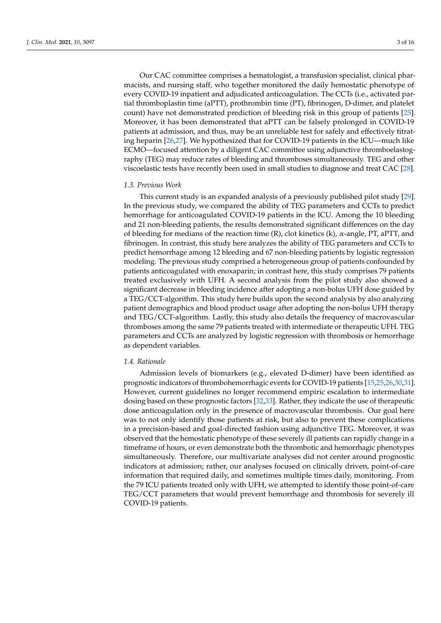Our CAC committee comprises a hematologist, a transfusion specialist, clinical pharmacists, and nursing staff, who together monitored the daily hemostatic phenotype of every COVID-19 inpatient and adjudicated anticoagulation. The CCTs (i.e., activated partial thromboplastin time (aPTT), prothrombin time (PT), fibrinogen, D-dimer, and platelet count) have not demonstrated prediction of bleeding risk in this group of patients [\[25\]](#page-16-0). Moreover, it has been demonstrated that aPTT can be falsely prolonged in COVID-19 patients at admission, and thus, may be an unreliable test for safely and effectively titrating heparin [\[26,](#page-16-1)[27\]](#page-16-2). We hypothesized that for COVID-19 patients in the ICU—much like ECMO—focused attention by a diligent CAC committee using adjunctive thromboelastography (TEG) may reduce rates of bleeding and thromboses simultaneously. TEG and other viscoelastic tests have recently been used in small studies to diagnose and treat CAC [\[28\]](#page-16-3).

#### *1.3. Previous Work*

This current study is an expanded analysis of a previously published pilot study [\[29\]](#page-16-4). In the previous study, we compared the ability of TEG parameters and CCTs to predict hemorrhage for anticoagulated COVID-19 patients in the ICU. Among the 10 bleeding and 21 non-bleeding patients, the results demonstrated significant differences on the day of bleeding for medians of the reaction time (R), clot kinetics (k), α-angle, PT, aPTT, and fibrinogen. In contrast, this study here analyzes the ability of TEG parameters and CCTs to predict hemorrhage among 12 bleeding and 67 non-bleeding patients by logistic regression modeling. The previous study comprised a heterogeneous group of patients confounded by patients anticoagulated with enoxaparin; in contrast here, this study comprises 79 patients treated exclusively with UFH. A second analysis from the pilot study also showed a significant decrease in bleeding incidence after adopting a non-bolus UFH dose guided by a TEG/CCT-algorithm. This study here builds upon the second analysis by also analyzing patient demographics and blood product usage after adopting the non-bolus UFH therapy and TEG/CCT-algorithm. Lastly, this study also details the frequency of macrovascular thromboses among the same 79 patients treated with intermediate or therapeutic UFH. TEG parameters and CCTs are analyzed by logistic regression with thrombosis or hemorrhage as dependent variables.

#### *1.4. Rationale*

Admission levels of biomarkers (e.g., elevated D-dimer) have been identified as prognostic indicators of thrombohemorrhagic events for COVID-19 patients [\[15,](#page-15-15)[25,](#page-16-0)[26,](#page-16-1)[30](#page-16-5)[,31\]](#page-16-6). However, current guidelines no longer recommend empiric escalation to intermediate dosing based on these prognostic factors [\[32,](#page-16-7)[33\]](#page-16-8). Rather, they indicate the use of therapeutic dose anticoagulation only in the presence of macrovascular thrombosis. Our goal here was to not only identify those patients at risk, but also to prevent these complications in a precision-based and goal-directed fashion using adjunctive TEG. Moreover, it was observed that the hemostatic phenotype of these severely ill patients can rapidly change in a timeframe of hours, or even demonstrate both the thrombotic and hemorrhagic phenotypes simultaneously. Therefore, our multivariate analyses did not center around prognostic indicators at admission; rather, our analyses focused on clinically driven, point-of-care information that required daily, and sometimes multiple times daily, monitoring. From the 79 ICU patients treated only with UFH, we attempted to identify those point-of-care TEG/CCT parameters that would prevent hemorrhage and thrombosis for severely ill COVID-19 patients.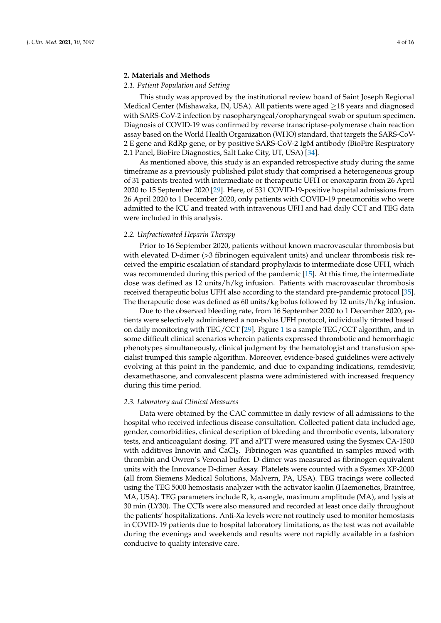#### **2. Materials and Methods**

#### *2.1. Patient Population and Setting*

This study was approved by the institutional review board of Saint Joseph Regional Medical Center (Mishawaka, IN, USA). All patients were aged  $\geq$ 18 years and diagnosed with SARS-CoV-2 infection by nasopharyngeal/oropharyngeal swab or sputum specimen. Diagnosis of COVID-19 was confirmed by reverse transcriptase-polymerase chain reaction assay based on the World Health Organization (WHO) standard, that targets the SARS-CoV-2 E gene and RdRp gene, or by positive SARS-CoV-2 IgM antibody (BioFire Respiratory 2.1 Panel, BioFire Diagnostics, Salt Lake City, UT, USA) [\[34\]](#page-16-9).

As mentioned above, this study is an expanded retrospective study during the same timeframe as a previously published pilot study that comprised a heterogeneous group of 31 patients treated with intermediate or therapeutic UFH or enoxaparin from 26 April 2020 to 15 September 2020 [\[29\]](#page-16-4). Here, of 531 COVID-19-positive hospital admissions from 26 April 2020 to 1 December 2020, only patients with COVID-19 pneumonitis who were admitted to the ICU and treated with intravenous UFH and had daily CCT and TEG data were included in this analysis.

#### *2.2. Unfractionated Heparin Therapy*

Prior to 16 September 2020, patients without known macrovascular thrombosis but with elevated D-dimer (>3 fibrinogen equivalent units) and unclear thrombosis risk received the empiric escalation of standard prophylaxis to intermediate dose UFH, which was recommended during this period of the pandemic [\[15\]](#page-15-15). At this time, the intermediate dose was defined as 12 units/h/kg infusion. Patients with macrovascular thrombosis received therapeutic bolus UFH also according to the standard pre-pandemic protocol [\[35\]](#page-16-10). The therapeutic dose was defined as 60 units/kg bolus followed by 12 units/h/kg infusion.

Due to the observed bleeding rate, from 16 September 2020 to 1 December 2020, patients were selectively administered a non-bolus UFH protocol, individually titrated based on daily monitoring with TEG/CCT [\[29\]](#page-16-4). Figure [1](#page-6-0) is a sample TEG/CCT algorithm, and in some difficult clinical scenarios wherein patients expressed thrombotic and hemorrhagic phenotypes simultaneously, clinical judgment by the hematologist and transfusion specialist trumped this sample algorithm. Moreover, evidence-based guidelines were actively evolving at this point in the pandemic, and due to expanding indications, remdesivir, dexamethasone, and convalescent plasma were administered with increased frequency during this time period.

#### *2.3. Laboratory and Clinical Measures*

Data were obtained by the CAC committee in daily review of all admissions to the hospital who received infectious disease consultation. Collected patient data included age, gender, comorbidities, clinical description of bleeding and thrombotic events, laboratory tests, and anticoagulant dosing. PT and aPTT were measured using the Sysmex CA-1500 with additives Innovin and  $CaCl<sub>2</sub>$ . Fibrinogen was quantified in samples mixed with thrombin and Owren's Veronal buffer. D-dimer was measured as fibrinogen equivalent units with the Innovance D-dimer Assay. Platelets were counted with a Sysmex XP-2000 (all from Siemens Medical Solutions, Malvern, PA, USA). TEG tracings were collected using the TEG 5000 hemostasis analyzer with the activator kaolin (Haemonetics, Braintree, MA, USA). TEG parameters include R, k, α-angle, maximum amplitude (MA), and lysis at 30 min (LY30). The CCTs were also measured and recorded at least once daily throughout the patients' hospitalizations. Anti-Xa levels were not routinely used to monitor hemostasis in COVID-19 patients due to hospital laboratory limitations, as the test was not available during the evenings and weekends and results were not rapidly available in a fashion conducive to quality intensive care.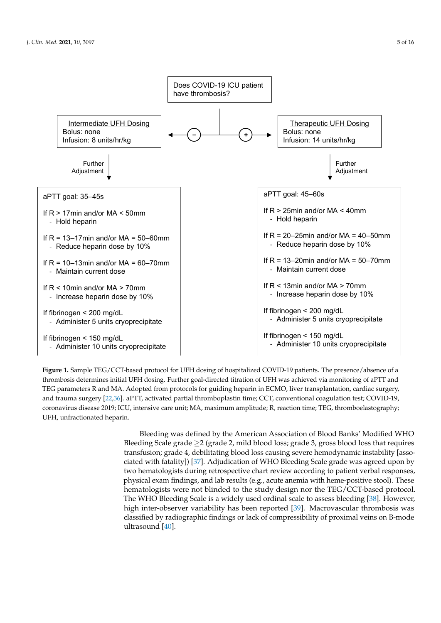<span id="page-6-0"></span>

*J. Clin. Med.* **2021**, *10*, x FOR PEER REVIEW 5 of 15

**Figure 1.** Sample TEG/CCT-based protocol for UFH dosing of hospitalized COVID-19 patients. The presence/absence of a Figure 1. Sample TEG/CCT-based protocol for UFH dosing of hospitalized COVID-19 patients. The presence/absence of a thrombosis determines initial UFH dosing. Further goal-directed titration of UFH was achieved via monitoring of aPTT and TEG parameters R and MA. Adopted from protocols for guiding heparin in ECMO, liver transplantation, cardiac surgery, and trauma surgery [\[22,](#page-15-12)[36\]](#page-16-11). aPTT, activated partial thromboplastin time; CCT, conventional coagulation test; COVID-19, coronavirus disease 2019; ICU, intensive care unit; MA, maximum amplitude; R, reaction time; TEG, thromboelastography; UFH, unfractionated heparin.

> Bleeding was defined by the American Association of Blood Banks' Modified WHO Bleeding Scale grade  $\geq$  (grade 2, mild blood loss; grade 3, gross blood loss that requires transfusion; grade 4, debilitating blood loss causing severe hemodynamic instability [asso-ciated with fatality]) [\[37\]](#page-16-12). Adjudication of WHO Bleeding Scale grade was agreed upon by two hematologists during retrospective chart review according to patient verbal responses, physical exam findings, and lab results (e.g., acute anemia with heme-positive stool). These hematologists were not blinded to the study design nor the TEG/CCT-based protocol. The WHO Bleeding Scale is a widely used ordinal scale to assess bleeding [\[38\]](#page-16-13). However, high inter-observer variability has been reported [\[39\]](#page-16-14). Macrovascular thrombosis was classified by radiographic findings or lack of compressibility of proximal veins on B-mode ultrasound [\[40\]](#page-16-15).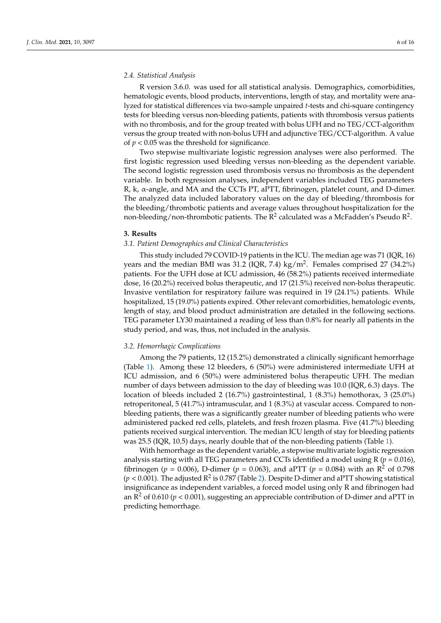#### *2.4. Statistical Analysis*

R version 3.6.0. was used for all statistical analysis. Demographics, comorbidities, hematologic events, blood products, interventions, length of stay, and mortality were analyzed for statistical differences via two-sample unpaired *t*-tests and chi-square contingency tests for bleeding versus non-bleeding patients, patients with thrombosis versus patients with no thrombosis, and for the group treated with bolus UFH and no TEG/CCT-algorithm versus the group treated with non-bolus UFH and adjunctive TEG/CCT-algorithm. A value of *p* < 0.05 was the threshold for significance.

Two stepwise multivariate logistic regression analyses were also performed. The first logistic regression used bleeding versus non-bleeding as the dependent variable. The second logistic regression used thrombosis versus no thrombosis as the dependent variable. In both regression analyses, independent variables included TEG parameters R, k, α-angle, and MA and the CCTs PT, aPTT, fibrinogen, platelet count, and D-dimer. The analyzed data included laboratory values on the day of bleeding/thrombosis for the bleeding/thrombotic patients and average values throughout hospitalization for the non-bleeding/non-thrombotic patients. The  $\mathsf{R}^2$  calculated was a McFadden's Pseudo  $\mathsf{R}^2$ .

#### **3. Results**

#### *3.1. Patient Demographics and Clinical Characteristics*

This study included 79 COVID-19 patients in the ICU. The median age was 71 (IQR, 16) years and the median BMI was 31.2 (IQR, 7.4)  $\text{kg/m}^2$ . Females comprised 27 (34.2%) patients. For the UFH dose at ICU admission, 46 (58.2%) patients received intermediate dose, 16 (20.2%) received bolus therapeutic, and 17 (21.5%) received non-bolus therapeutic. Invasive ventilation for respiratory failure was required in 19 (24.1%) patients. While hospitalized, 15 (19.0%) patients expired. Other relevant comorbidities, hematologic events, length of stay, and blood product administration are detailed in the following sections. TEG parameter LY30 maintained a reading of less than 0.8% for nearly all patients in the study period, and was, thus, not included in the analysis.

#### *3.2. Hemorrhagic Complications*

Among the 79 patients, 12 (15.2%) demonstrated a clinically significant hemorrhage (Table [1\)](#page-8-0). Among these 12 bleeders, 6 (50%) were administered intermediate UFH at ICU admission, and 6 (50%) were administered bolus therapeutic UFH. The median number of days between admission to the day of bleeding was 10.0 (IQR, 6.3) days. The location of bleeds included 2 (16.7%) gastrointestinal, 1 (8.3%) hemothorax, 3 (25.0%) retroperitoneal, 5 (41.7%) intramuscular, and 1 (8.3%) at vascular access. Compared to nonbleeding patients, there was a significantly greater number of bleeding patients who were administered packed red cells, platelets, and fresh frozen plasma. Five (41.7%) bleeding patients received surgical intervention. The median ICU length of stay for bleeding patients was 25.5 (IQR, 10.5) days, nearly double that of the non-bleeding patients (Table [1\)](#page-8-0).

With hemorrhage as the dependent variable, a stepwise multivariate logistic regression analysis starting with all TEG parameters and CCTs identified a model using  $R$  ( $p = 0.016$ ), fibrinogen (*p* = 0.006), D-dimer (*p* = 0.063), and aPTT (*p* = 0.084) with an R<sup>2</sup> of 0.798  $(p < 0.001)$ . The adjusted  $\mathbb{R}^2$  is 0.787 (Table [2\)](#page-9-0). Despite D-dimer and aPTT showing statistical insignificance as independent variables, a forced model using only R and fibrinogen had an  $R^2$  of 0.610 ( $p < 0.001$ ), suggesting an appreciable contribution of D-dimer and aPTT in predicting hemorrhage.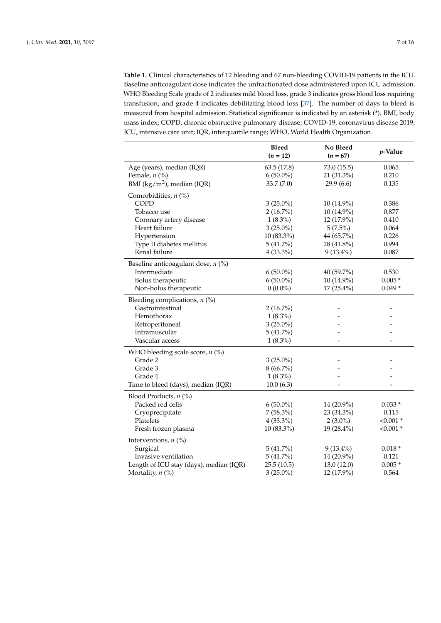<span id="page-8-0"></span>**Table 1.** Clinical characteristics of 12 bleeding and 67 non-bleeding COVID-19 patients in the ICU. Baseline anticoagulant dose indicates the unfractionated dose administered upon ICU admission. WHO Bleeding Scale grade of 2 indicates mild blood loss, grade 3 indicates gross blood loss requiring transfusion, and grade 4 indicates debilitating blood loss [\[37\]](#page-16-12). The number of days to bleed is measured from hospital admission. Statistical significance is indicated by an asterisk (\*). BMI, body mass index; COPD, chronic obstructive pulmonary disease; COVID-19, coronavirus disease 2019; ICU, intensive care unit; IQR, interquartile range; WHO, World Health Organization.

|                                         | <b>Bleed</b><br>$(n = 12)$ | No Bleed<br>$(n = 67)$ | <i>p</i> -Value |
|-----------------------------------------|----------------------------|------------------------|-----------------|
| Age (years), median (IQR)               | 63.5(17.8)                 | 73.0 (15.5)            | 0.065           |
| Female, $n$ (%)                         | $6(50.0\%)$                | 21 (31.3%)             | 0.210           |
| BMI ( $\text{kg/m}^2$ ), median (IQR)   | 33.7 (7.0)                 | 29.9(6.6)              | 0.135           |
| Comorbidities, $n$ (%)                  |                            |                        |                 |
| COPD                                    | $3(25.0\%)$                | 10 (14.9%)             | 0.386           |
| Tobacco use                             | $2(16.7\%)$                | 10 (14.9%)             | 0.877           |
| Coronary artery disease                 | $1(8.3\%)$                 | 12 (17.9%)             | 0.410           |
| Heart failure                           | $3(25.0\%)$                | $5(7.5\%)$             | 0.064           |
| Hypertension                            | 10 (83.3%)                 | 44 (65.7%)             | 0.226           |
| Type II diabetes mellitus               | 5(41.7%)                   | 28 (41.8%)             | 0.994           |
| Renal failure                           | $4(33.3\%)$                | $9(13.4\%)$            | 0.087           |
| Baseline anticoagulant dose, $n$ (%)    |                            |                        |                 |
| Intermediate                            | $6(50.0\%)$                | 40 (59.7%)             | 0.530           |
| Bolus therapeutic                       | $6(50.0\%)$                | 10 (14.9%)             | $0.005*$        |
| Non-bolus therapeutic                   | $0(0.0\%)$                 | 17 (25.4%)             | $0.049*$        |
| Bleeding complications, $n$ (%)         |                            |                        |                 |
| Gastrointestinal                        | 2(16.7%)                   |                        |                 |
| Hemothorax                              | $1(8.3\%)$                 |                        |                 |
| Retroperitoneal                         | $3(25.0\%)$                |                        |                 |
| Intramuscular                           | 5(41.7%)                   |                        |                 |
| Vascular access                         | $1(8.3\%)$                 |                        |                 |
| WHO bleeding scale score, $n$ (%)       |                            |                        |                 |
| Grade 2                                 | $3(25.0\%)$                |                        |                 |
| Grade 3                                 | $8(66.7\%)$                |                        |                 |
| Grade 4                                 | $1(8.3\%)$                 |                        |                 |
| Time to bleed (days), median (IQR)      | 10.0(6.3)                  |                        |                 |
| Blood Products, n (%)                   |                            |                        |                 |
| Packed red cells                        | $6(50.0\%)$                | 14 (20.9%)             | $0.033*$        |
| Cryoprecipitate                         | $7(58.3\%)$                | 23 (34.3%)             | 0.115           |
| Platelets                               | $4(33.3\%)$                | $2(3.0\%)$             | $< 0.001$ *     |
| Fresh frozen plasma                     | 10 (83.3%)                 | 19 (28.4%)             | $< 0.001$ *     |
| Interventions, $n$ (%)                  |                            |                        |                 |
| Surgical                                | 5(41.7%)                   | $9(13.4\%)$            | $0.018*$        |
| Invasive ventilation                    | 5(41.7%)                   | 14 (20.9%)             | 0.121           |
| Length of ICU stay (days), median (IQR) | 25.5(10.5)                 | 13.0(12.0)             | $0.005*$        |
| Mortality, $n$ (%)                      | $3(25.0\%)$                | 12 (17.9%)             | 0.564           |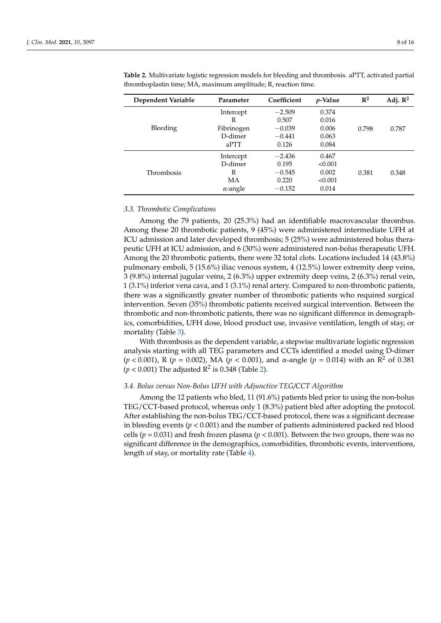| Dependent Variable | Parameter       | Coefficient | <i>p</i> -Value | $\mathbb{R}^2$ | Adj. $\mathbb{R}^2$ |
|--------------------|-----------------|-------------|-----------------|----------------|---------------------|
| Bleeding           | Intercept       | $-2.509$    | 0.374           |                |                     |
|                    | R               | 0.507       | 0.016           |                |                     |
|                    | Fibrinogen      | $-0.039$    | 0.006           | 0.798          | 0.787               |
|                    | D-dimer         | $-0.441$    | 0.063           |                |                     |
|                    | aPTT            | 0.126       | 0.084           |                |                     |
|                    | Intercept       | $-2.436$    | 0.467           |                |                     |
|                    | D-dimer         | 0.195       | < 0.001         |                |                     |
| Thrombosis         | R               | $-0.545$    | 0.002           | 0.381          | 0.348               |
|                    | МA              | 0.220       | < 0.001         |                |                     |
|                    | $\alpha$ -angle | $-0.152$    | 0.014           |                |                     |

<span id="page-9-0"></span>**Table 2.** Multivariate logistic regression models for bleeding and thrombosis. aPTT, activated partial thromboplastin time; MA, maximum amplitude; R, reaction time.

#### *3.3. Thrombotic Complications*

Among the 79 patients, 20 (25.3%) had an identifiable macrovascular thrombus. Among these 20 thrombotic patients, 9 (45%) were administered intermediate UFH at ICU admission and later developed thrombosis; 5 (25%) were administered bolus therapeutic UFH at ICU admission, and 6 (30%) were administered non-bolus therapeutic UFH. Among the 20 thrombotic patients, there were 32 total clots. Locations included 14 (43.8%) pulmonary emboli, 5 (15.6%) iliac venous system, 4 (12.5%) lower extremity deep veins, 3 (9.8%) internal jugular veins, 2 (6.3%) upper extremity deep veins, 2 (6.3%) renal vein, 1 (3.1%) inferior vena cava, and 1 (3.1%) renal artery. Compared to non-thrombotic patients, there was a significantly greater number of thrombotic patients who required surgical intervention. Seven (35%) thrombotic patients received surgical intervention. Between the thrombotic and non-thrombotic patients, there was no significant difference in demographics, comorbidities, UFH dose, blood product use, invasive ventilation, length of stay, or mortality (Table [3\)](#page-10-0).

With thrombosis as the dependent variable, a stepwise multivariate logistic regression analysis starting with all TEG parameters and CCTs identified a model using D-dimer (*p* < 0.001), R (*p* = 0.002), MA (*p* < 0.001), and α-angle (*p* = 0.014) with an R<sup>2</sup> of 0.381  $(p < 0.001)$  The adjusted  $R^2$  is 0.348 (Table [2\)](#page-9-0).

#### *3.4. Bolus versus Non-Bolus UFH with Adjunctive TEG/CCT Algorithm*

Among the 12 patients who bled, 11 (91.6%) patients bled prior to using the non-bolus TEG/CCT-based protocol, whereas only 1 (8.3%) patient bled after adopting the protocol. After establishing the non-bolus TEG/CCT-based protocol, there was a significant decrease in bleeding events  $(p < 0.001)$  and the number of patients administered packed red blood cells ( $p = 0.031$ ) and fresh frozen plasma ( $p < 0.001$ ). Between the two groups, there was no significant difference in the demographics, comorbidities, thrombotic events, interventions, length of stay, or mortality rate (Table [4\)](#page-11-0).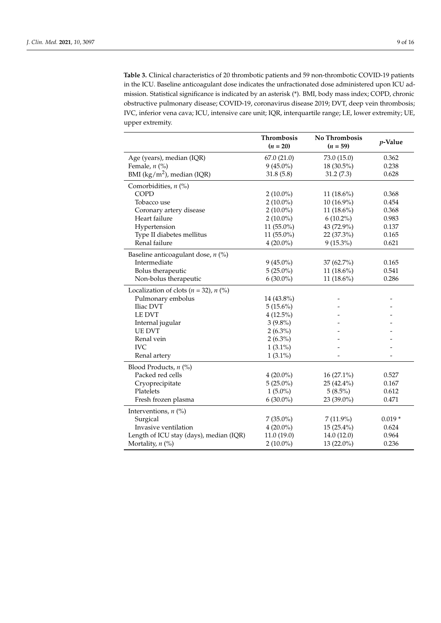<span id="page-10-0"></span>**Table 3.** Clinical characteristics of 20 thrombotic patients and 59 non-thrombotic COVID-19 patients in the ICU. Baseline anticoagulant dose indicates the unfractionated dose administered upon ICU admission. Statistical significance is indicated by an asterisk (\*). BMI, body mass index; COPD, chronic obstructive pulmonary disease; COVID-19, coronavirus disease 2019; DVT, deep vein thrombosis; IVC, inferior vena cava; ICU, intensive care unit; IQR, interquartile range; LE, lower extremity; UE, upper extremity.

|                                             | Thrombosis<br>$(n = 20)$ | No Thrombosis<br>$(n = 59)$ | p-Value  |
|---------------------------------------------|--------------------------|-----------------------------|----------|
| Age (years), median (IQR)                   | 67.0(21.0)               | 73.0 (15.0)                 | 0.362    |
| Female, $n$ (%)                             | $9(45.0\%)$              | 18 (30.5%)                  | 0.238    |
| BMI ( $\text{kg/m}^2$ ), median (IQR)       | 31.8(5.8)                | 31.2(7.3)                   | 0.628    |
| Comorbidities, $n$ (%)                      |                          |                             |          |
| <b>COPD</b>                                 | $2(10.0\%)$              | 11 $(18.6\%)$               | 0.368    |
| Tobacco use                                 | $2(10.0\%)$              | 10 (16.9%)                  | 0.454    |
| Coronary artery disease                     | $2(10.0\%)$              | 11 $(18.6\%)$               | 0.368    |
| Heart failure                               | $2(10.0\%)$              | $6(10.2\%)$                 | 0.983    |
| Hypertension                                | 11 (55.0%)               | 43 (72.9%)                  | 0.137    |
| Type II diabetes mellitus                   | $11(55.0\%)$             | 22 (37.3%)                  | 0.165    |
| Renal failure                               | $4(20.0\%)$              | $9(15.3\%)$                 | 0.621    |
| Baseline anticoagulant dose, $n$ (%)        |                          |                             |          |
| Intermediate                                | $9(45.0\%)$              | 37 (62.7%)                  | 0.165    |
| Bolus therapeutic                           | $5(25.0\%)$              | 11 (18.6%)                  | 0.541    |
| Non-bolus therapeutic                       | $6(30.0\%)$              | 11 (18.6%)                  | 0.286    |
| Localization of clots ( $n = 32$ ), $n$ (%) |                          |                             |          |
| Pulmonary embolus                           | 14 (43.8%)               |                             |          |
| Iliac DVT                                   | $5(15.6\%)$              |                             |          |
| <b>LE DVT</b>                               | $4(12.5\%)$              |                             |          |
| Internal jugular                            | $3(9.8\%)$               |                             |          |
| <b>UE DVT</b>                               | $2(6.3\%)$               |                             |          |
| Renal vein                                  | $2(6.3\%)$               |                             |          |
| <b>IVC</b>                                  | $1(3.1\%)$               |                             |          |
| Renal artery                                | $1(3.1\%)$               |                             |          |
| Blood Products, $n$ (%)                     |                          |                             |          |
| Packed red cells                            | $4(20.0\%)$              | $16(27.1\%)$                | 0.527    |
| Cryoprecipitate                             | $5(25.0\%)$              | 25 (42.4%)                  | 0.167    |
| Platelets                                   | $1(5.0\%)$               | $5(8.5\%)$                  | 0.612    |
| Fresh frozen plasma                         | $6(30.0\%)$              | 23 (39.0%)                  | 0.471    |
| Interventions, $n$ (%)                      |                          |                             |          |
| Surgical                                    | $7(35.0\%)$              | $7(11.9\%)$                 | $0.019*$ |
| Invasive ventilation                        | $4(20.0\%)$              | 15 (25.4%)                  | 0.624    |
| Length of ICU stay (days), median (IQR)     | 11.0(19.0)               | 14.0(12.0)                  | 0.964    |
| Mortality, $n$ (%)                          | $2(10.0\%)$              | 13 (22.0%)                  | 0.236    |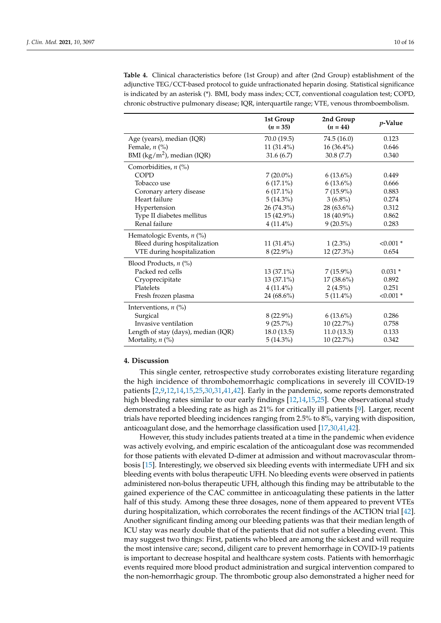|                                       | 1st Group<br>$(n = 35)$ | 2nd Group<br>$(n = 44)$ | p-Value     |
|---------------------------------------|-------------------------|-------------------------|-------------|
| Age (years), median (IQR)             | 70.0 (19.5)             | 74.5 (16.0)             | 0.123       |
| Female, $n$ (%)                       | $11(31.4\%)$            | $16(36.4\%)$            | 0.646       |
| BMI ( $\text{kg/m}^2$ ), median (IQR) | 31.6(6.7)               | 30.8(7.7)               | 0.340       |
| Comorbidities, $n$ (%)                |                         |                         |             |
| <b>COPD</b>                           | $7(20.0\%)$             | $6(13.6\%)$             | 0.449       |
| Tobacco use                           | $6(17.1\%)$             | $6(13.6\%)$             | 0.666       |
| Coronary artery disease               | $6(17.1\%)$             | $7(15.9\%)$             | 0.883       |
| Heart failure                         | $5(14.3\%)$             | $3(6.8\%)$              | 0.274       |
| Hypertension                          | 26 (74.3%)              | 28 (63.6%)              | 0.312       |
| Type II diabetes mellitus             | 15 (42.9%)              | 18 (40.9%)              | 0.862       |
| Renal failure                         | $4(11.4\%)$             | $9(20.5\%)$             | 0.283       |
| Hematologic Events, n (%)             |                         |                         |             |
| Bleed during hospitalization          | $11(31.4\%)$            | $1(2.3\%)$              | $< 0.001$ * |
| VTE during hospitalization            | $8(22.9\%)$             | 12 (27.3%)              | 0.654       |
| Blood Products, $n$ (%)               |                         |                         |             |
| Packed red cells                      | $13(37.1\%)$            | $7(15.9\%)$             | $0.031*$    |
| Cryoprecipitate                       | $13(37.1\%)$            | $17(38.6\%)$            | 0.892       |
| Platelets                             | $4(11.4\%)$             | $2(4.5\%)$              | 0.251       |
| Fresh frozen plasma                   | 24 (68.6%)              | $5(11.4\%)$             | $< 0.001$ * |
| Interventions, $n$ (%)                |                         |                         |             |
| Surgical                              | $8(22.9\%)$             | $6(13.6\%)$             | 0.286       |
| Invasive ventilation                  | $9(25.7\%)$             | 10 (22.7%)              | 0.758       |
| Length of stay (days), median (IQR)   | 18.0(13.5)              | 11.0(13.3)              | 0.133       |
| Mortality, $n$ (%)                    | $5(14.3\%)$             | $10(22.7\%)$            | 0.342       |

<span id="page-11-0"></span>**Table 4.** Clinical characteristics before (1st Group) and after (2nd Group) establishment of the adjunctive TEG/CCT-based protocol to guide unfractionated heparin dosing. Statistical significance is indicated by an asterisk (\*). BMI, body mass index; CCT, conventional coagulation test; COPD, chronic obstructive pulmonary disease; IQR, interquartile range; VTE, venous thromboembolism.

#### **4. Discussion**

This single center, retrospective study corroborates existing literature regarding the high incidence of thrombohemorrhagic complications in severely ill COVID-19 patients [\[2](#page-15-16)[,9,](#page-15-5)[12,](#page-15-8)[14,](#page-15-17)[15](#page-15-15)[,25](#page-16-0)[,30,](#page-16-5)[31,](#page-16-6)[41](#page-16-16)[,42\]](#page-16-17). Early in the pandemic, some reports demonstrated high bleeding rates similar to our early findings [\[12,](#page-15-8)[14,](#page-15-17)[15,](#page-15-15)[25\]](#page-16-0). One observational study demonstrated a bleeding rate as high as 21% for critically ill patients [\[9\]](#page-15-5). Larger, recent trials have reported bleeding incidences ranging from 2.5% to 8%, varying with disposition, anticoagulant dose, and the hemorrhage classification used [\[17,](#page-15-10)[30,](#page-16-5)[41](#page-16-16)[,42\]](#page-16-17).

However, this study includes patients treated at a time in the pandemic when evidence was actively evolving, and empiric escalation of the anticoagulant dose was recommended for those patients with elevated D-dimer at admission and without macrovascular thrombosis [\[15\]](#page-15-15). Interestingly, we observed six bleeding events with intermediate UFH and six bleeding events with bolus therapeutic UFH. No bleeding events were observed in patients administered non-bolus therapeutic UFH, although this finding may be attributable to the gained experience of the CAC committee in anticoagulating these patients in the latter half of this study. Among these three dosages, none of them appeared to prevent VTEs during hospitalization, which corroborates the recent findings of the ACTION trial [\[42\]](#page-16-17). Another significant finding among our bleeding patients was that their median length of ICU stay was nearly double that of the patients that did not suffer a bleeding event. This may suggest two things: First, patients who bleed are among the sickest and will require the most intensive care; second, diligent care to prevent hemorrhage in COVID-19 patients is important to decrease hospital and healthcare system costs. Patients with hemorrhagic events required more blood product administration and surgical intervention compared to the non-hemorrhagic group. The thrombotic group also demonstrated a higher need for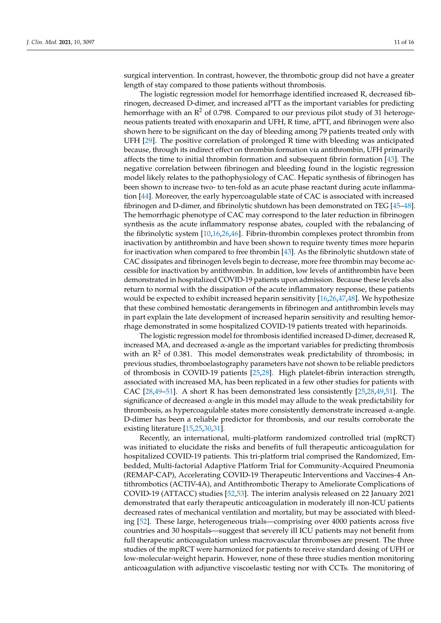surgical intervention. In contrast, however, the thrombotic group did not have a greater length of stay compared to those patients without thrombosis.

The logistic regression model for hemorrhage identified increased R, decreased fibrinogen, decreased D-dimer, and increased aPTT as the important variables for predicting hemorrhage with an  $\mathbb{R}^2$  of 0.798. Compared to our previous pilot study of 31 heterogeneous patients treated with enoxaparin and UFH, R time, aPTT, and fibrinogen were also shown here to be significant on the day of bleeding among 79 patients treated only with UFH [\[29\]](#page-16-4). The positive correlation of prolonged R time with bleeding was anticipated because, through its indirect effect on thrombin formation via antithrombin, UFH primarily affects the time to initial thrombin formation and subsequent fibrin formation [\[43\]](#page-16-18). The negative correlation between fibrinogen and bleeding found in the logistic regression model likely relates to the pathophysiology of CAC. Hepatic synthesis of fibrinogen has been shown to increase two- to ten-fold as an acute phase reactant during acute inflammation [\[44\]](#page-16-19). Moreover, the early hypercoagulable state of CAC is associated with increased fibrinogen and D-dimer, and fibrinolytic shutdown has been demonstrated on TEG [\[45](#page-16-20)[–48\]](#page-17-0). The hemorrhagic phenotype of CAC may correspond to the later reduction in fibrinogen synthesis as the acute inflammatory response abates, coupled with the rebalancing of the fibrinolytic system [\[10](#page-15-6)[,16,](#page-15-9)[26](#page-16-1)[,46\]](#page-16-21). Fibrin-thrombin complexes protect thrombin from inactivation by antithrombin and have been shown to require twenty times more heparin for inactivation when compared to free thrombin [\[43\]](#page-16-18). As the fibrinolytic shutdown state of CAC dissipates and fibrinogen levels begin to decrease, more free thrombin may become accessible for inactivation by antithrombin. In addition, low levels of antithrombin have been demonstrated in hospitalized COVID-19 patients upon admission. Because these levels also return to normal with the dissipation of the acute inflammatory response, these patients would be expected to exhibit increased heparin sensitivity [\[16,](#page-15-9)[26,](#page-16-1)[47,](#page-17-1)[48\]](#page-17-0). We hypothesize that these combined hemostatic derangements in fibrinogen and antithrombin levels may in part explain the late development of increased heparin sensitivity and resulting hemorrhage demonstrated in some hospitalized COVID-19 patients treated with heparinoids.

The logistic regression model for thrombosis identified increased D-dimer, decreased R, increased MA, and decreased α-angle as the important variables for predicting thrombosis with an  $\mathbb{R}^2$  of 0.381. This model demonstrates weak predictability of thrombosis; in previous studies, thromboelastography parameters have not shown to be reliable predictors of thrombosis in COVID-19 patients [\[25,](#page-16-0)[28\]](#page-16-3). High platelet-fibrin interaction strength, associated with increased MA, has been replicated in a few other studies for patients with CAC [\[28](#page-16-3)[,49–](#page-17-2)[51\]](#page-17-3). A short R has been demonstrated less consistently [\[25,](#page-16-0)[28,](#page-16-3)[49,](#page-17-2)[51\]](#page-17-3). The significance of decreased  $\alpha$ -angle in this model may allude to the weak predictability for thrombosis, as hypercoagulable states more consistently demonstrate increased  $\alpha$ -angle. D-dimer has been a reliable predictor for thrombosis, and our results corroborate the existing literature [\[15,](#page-15-15)[25,](#page-16-0)[30](#page-16-5)[,31\]](#page-16-6).

Recently, an international, multi-platform randomized controlled trial (mpRCT) was initiated to elucidate the risks and benefits of full therapeutic anticoagulation for hospitalized COVID-19 patients. This tri-platform trial comprised the Randomized, Embedded, Multi-factorial Adaptive Platform Trial for Community-Acquired Pneumonia (REMAP-CAP), Accelerating COVID-19 Therapeutic Interventions and Vaccines-4 Antithrombotics (ACTIV-4A), and Antithrombotic Therapy to Ameliorate Complications of COVID-19 (ATTACC) studies [\[52,](#page-17-4)[53\]](#page-17-5). The interim analysis released on 22 January 2021 demonstrated that early therapeutic anticoagulation in moderately ill non-ICU patients decreased rates of mechanical ventilation and mortality, but may be associated with bleeding [\[52\]](#page-17-4). These large, heterogeneous trials—comprising over 4000 patients across five countries and 30 hospitals—suggest that severely ill ICU patients may not benefit from full therapeutic anticoagulation unless macrovascular thromboses are present. The three studies of the mpRCT were harmonized for patients to receive standard dosing of UFH or low-molecular-weight heparin. However, none of these three studies mention monitoring anticoagulation with adjunctive viscoelastic testing nor with CCTs. The monitoring of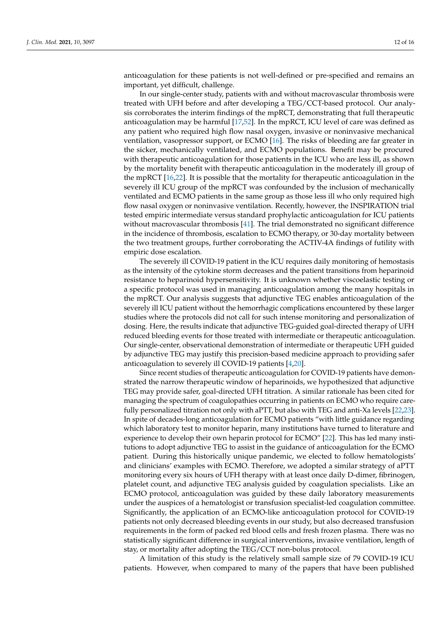anticoagulation for these patients is not well-defined or pre-specified and remains an important, yet difficult, challenge.

In our single-center study, patients with and without macrovascular thrombosis were treated with UFH before and after developing a TEG/CCT-based protocol. Our analysis corroborates the interim findings of the mpRCT, demonstrating that full therapeutic anticoagulation may be harmful [\[17](#page-15-10)[,52\]](#page-17-4). In the mpRCT, ICU level of care was defined as any patient who required high flow nasal oxygen, invasive or noninvasive mechanical ventilation, vasopressor support, or ECMO [\[16\]](#page-15-9). The risks of bleeding are far greater in the sicker, mechanically ventilated, and ECMO populations. Benefit may be procured with therapeutic anticoagulation for those patients in the ICU who are less ill, as shown by the mortality benefit with therapeutic anticoagulation in the moderately ill group of the mpRCT [\[16](#page-15-9)[,22\]](#page-15-12). It is possible that the mortality for therapeutic anticoagulation in the severely ill ICU group of the mpRCT was confounded by the inclusion of mechanically ventilated and ECMO patients in the same group as those less ill who only required high flow nasal oxygen or noninvasive ventilation. Recently, however, the INSPIRATION trial tested empiric intermediate versus standard prophylactic anticoagulation for ICU patients without macrovascular thrombosis [\[41\]](#page-16-16). The trial demonstrated no significant difference in the incidence of thrombosis, escalation to ECMO therapy, or 30-day mortality between the two treatment groups, further corroborating the ACTIV-4A findings of futility with empiric dose escalation.

The severely ill COVID-19 patient in the ICU requires daily monitoring of hemostasis as the intensity of the cytokine storm decreases and the patient transitions from heparinoid resistance to heparinoid hypersensitivity. It is unknown whether viscoelastic testing or a specific protocol was used in managing anticoagulation among the many hospitals in the mpRCT. Our analysis suggests that adjunctive TEG enables anticoagulation of the severely ill ICU patient without the hemorrhagic complications encountered by these larger studies where the protocols did not call for such intense monitoring and personalization of dosing. Here, the results indicate that adjunctive TEG-guided goal-directed therapy of UFH reduced bleeding events for those treated with intermediate or therapeutic anticoagulation. Our single-center, observational demonstration of intermediate or therapeutic UFH guided by adjunctive TEG may justify this precision-based medicine approach to providing safer anticoagulation to severely ill COVID-19 patients [\[4](#page-15-2)[,20\]](#page-15-18).

Since recent studies of therapeutic anticoagulation for COVID-19 patients have demonstrated the narrow therapeutic window of heparinoids, we hypothesized that adjunctive TEG may provide safer, goal-directed UFH titration. A similar rationale has been cited for managing the spectrum of coagulopathies occurring in patients on ECMO who require carefully personalized titration not only with aPTT, but also with TEG and anti-Xa levels [\[22](#page-15-12)[,23\]](#page-15-13). In spite of decades-long anticoagulation for ECMO patients "with little guidance regarding which laboratory test to monitor heparin, many institutions have turned to literature and experience to develop their own heparin protocol for ECMO" [\[22\]](#page-15-12). This has led many institutions to adopt adjunctive TEG to assist in the guidance of anticoagulation for the ECMO patient. During this historically unique pandemic, we elected to follow hematologists' and clinicians' examples with ECMO. Therefore, we adopted a similar strategy of aPTT monitoring every six hours of UFH therapy with at least once daily D-dimer, fibrinogen, platelet count, and adjunctive TEG analysis guided by coagulation specialists. Like an ECMO protocol, anticoagulation was guided by these daily laboratory measurements under the auspices of a hematologist or transfusion specialist-led coagulation committee. Significantly, the application of an ECMO-like anticoagulation protocol for COVID-19 patients not only decreased bleeding events in our study, but also decreased transfusion requirements in the form of packed red blood cells and fresh frozen plasma. There was no statistically significant difference in surgical interventions, invasive ventilation, length of stay, or mortality after adopting the TEG/CCT non-bolus protocol.

A limitation of this study is the relatively small sample size of 79 COVID-19 ICU patients. However, when compared to many of the papers that have been published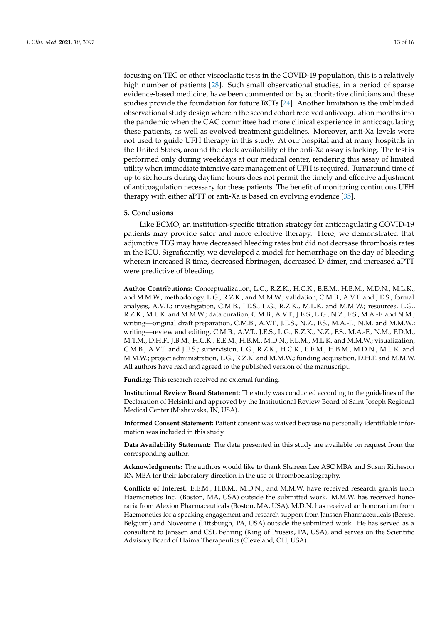focusing on TEG or other viscoelastic tests in the COVID-19 population, this is a relatively high number of patients [\[28\]](#page-16-3). Such small observational studies, in a period of sparse evidence-based medicine, have been commented on by authoritative clinicians and these studies provide the foundation for future RCTs [\[24\]](#page-15-14). Another limitation is the unblinded observational study design wherein the second cohort received anticoagulation months into the pandemic when the CAC committee had more clinical experience in anticoagulating these patients, as well as evolved treatment guidelines. Moreover, anti-Xa levels were not used to guide UFH therapy in this study. At our hospital and at many hospitals in the United States, around the clock availability of the anti-Xa assay is lacking. The test is performed only during weekdays at our medical center, rendering this assay of limited utility when immediate intensive care management of UFH is required. Turnaround time of up to six hours during daytime hours does not permit the timely and effective adjustment of anticoagulation necessary for these patients. The benefit of monitoring continuous UFH therapy with either aPTT or anti-Xa is based on evolving evidence [\[35\]](#page-16-10).

#### **5. Conclusions**

Like ECMO, an institution-specific titration strategy for anticoagulating COVID-19 patients may provide safer and more effective therapy. Here, we demonstrated that adjunctive TEG may have decreased bleeding rates but did not decrease thrombosis rates in the ICU. Significantly, we developed a model for hemorrhage on the day of bleeding wherein increased R time, decreased fibrinogen, decreased D-dimer, and increased aPTT were predictive of bleeding.

**Author Contributions:** Conceptualization, L.G., R.Z.K., H.C.K., E.E.M., H.B.M., M.D.N., M.L.K., and M.M.W.; methodology, L.G., R.Z.K., and M.M.W.; validation, C.M.B., A.V.T. and J.E.S.; formal analysis, A.V.T.; investigation, C.M.B., J.E.S., L.G., R.Z.K., M.L.K. and M.M.W.; resources, L.G., R.Z.K., M.L.K. and M.M.W.; data curation, C.M.B., A.V.T., J.E.S., L.G., N.Z., F.S., M.A.-F. and N.M.; writing—original draft preparation, C.M.B., A.V.T., J.E.S., N.Z., F.S., M.A.-F., N.M. and M.M.W.; writing—review and editing, C.M.B., A.V.T., J.E.S., L.G., R.Z.K., N.Z., F.S., M.A.-F., N.M., P.D.M., M.T.M., D.H.F., J.B.M., H.C.K., E.E.M., H.B.M., M.D.N., P.L.M., M.L.K. and M.M.W.; visualization, C.M.B., A.V.T. and J.E.S.; supervision, L.G., R.Z.K., H.C.K., E.E.M., H.B.M., M.D.N., M.L.K. and M.M.W.; project administration, L.G., R.Z.K. and M.M.W.; funding acquisition, D.H.F. and M.M.W. All authors have read and agreed to the published version of the manuscript.

**Funding:** This research received no external funding.

**Institutional Review Board Statement:** The study was conducted according to the guidelines of the Declaration of Helsinki and approved by the Institutional Review Board of Saint Joseph Regional Medical Center (Mishawaka, IN, USA).

**Informed Consent Statement:** Patient consent was waived because no personally identifiable information was included in this study.

**Data Availability Statement:** The data presented in this study are available on request from the corresponding author.

**Acknowledgments:** The authors would like to thank Shareen Lee ASC MBA and Susan Richeson RN MBA for their laboratory direction in the use of thromboelastography.

**Conflicts of Interest:** E.E.M., H.B.M., M.D.N., and M.M.W. have received research grants from Haemonetics Inc. (Boston, MA, USA) outside the submitted work. M.M.W. has received honoraria from Alexion Pharmaceuticals (Boston, MA, USA). M.D.N. has received an honorarium from Haemonetics for a speaking engagement and research support from Janssen Pharmaceuticals (Beerse, Belgium) and Noveome (Pittsburgh, PA, USA) outside the submitted work. He has served as a consultant to Janssen and CSL Behring (King of Prussia, PA, USA), and serves on the Scientific Advisory Board of Haima Therapeutics (Cleveland, OH, USA).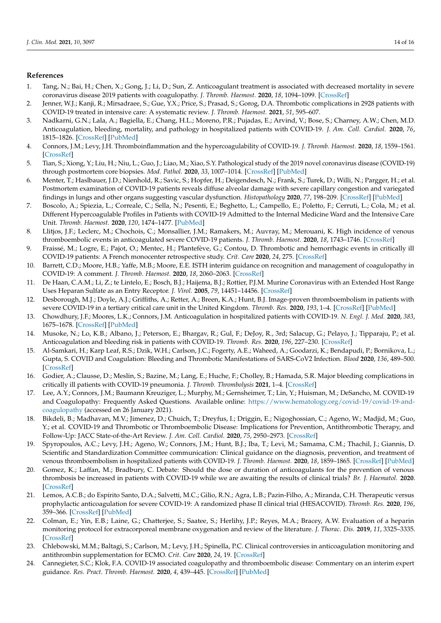#### **References**

- <span id="page-15-0"></span>1. Tang, N.; Bai, H.; Chen, X.; Gong, J.; Li, D.; Sun, Z. Anticoagulant treatment is associated with decreased mortality in severe coronavirus disease 2019 patients with coagulopathy. *J. Thromb. Haemost.* **2020**, *18*, 1094–1099. [\[CrossRef\]](http://doi.org/10.1111/jth.14817)
- <span id="page-15-16"></span>2. Jenner, W.J.; Kanji, R.; Mirsadraee, S.; Gue, Y.X.; Price, S.; Prasad, S.; Gorog, D.A. Thrombotic complications in 2928 patients with COVID-19 treated in intensive care: A systematic review. *J. Thromb. Haemost.* **2021**, *51*, 595–607.
- <span id="page-15-1"></span>3. Nadkarni, G.N.; Lala, A.; Bagiella, E.; Chang, H.L.; Moreno, P.R.; Pujadas, E.; Arvind, V.; Bose, S.; Charney, A.W.; Chen, M.D. Anticoagulation, bleeding, mortality, and pathology in hospitalized patients with COVID-19. *J. Am. Coll. Cardiol.* **2020**, *76*, 1815–1826. [\[CrossRef\]](http://doi.org/10.1016/j.jacc.2020.08.041) [\[PubMed\]](http://www.ncbi.nlm.nih.gov/pubmed/32860872)
- <span id="page-15-2"></span>4. Connors, J.M.; Levy, J.H. Thromboinflammation and the hypercoagulability of COVID-19. *J. Thromb. Haemost.* **2020**, *18*, 1559–1561. [\[CrossRef\]](http://doi.org/10.1111/jth.14849)
- 5. Tian, S.; Xiong, Y.; Liu, H.; Niu, L.; Guo, J.; Liao, M.; Xiao, S.Y. Pathological study of the 2019 novel coronavirus disease (COVID-19) through postmortem core biopsies. *Mod. Pathol.* **2020**, *33*, 1007–1014. [\[CrossRef\]](http://doi.org/10.1038/s41379-020-0536-x) [\[PubMed\]](http://www.ncbi.nlm.nih.gov/pubmed/32291399)
- <span id="page-15-3"></span>6. Menter, T.; Haslbauer, J.D.; Nienhold, R.; Savic, S.; Hopfer, H.; Deigendesch, N.; Frank, S.; Turek, D.; Willi, N.; Pargger, H.; et al. Postmortem examination of COVID-19 patients reveals diffuse alveolar damage with severe capillary congestion and variegated findings in lungs and other organs suggesting vascular dysfunction. *Histopathology* **2020**, *77*, 198–209. [\[CrossRef\]](http://doi.org/10.1111/his.14134) [\[PubMed\]](http://www.ncbi.nlm.nih.gov/pubmed/32364264)
- <span id="page-15-4"></span>7. Boscolo, A.; Spiezia, L.; Correale, C.; Sella, N.; Pesenti, E.; Beghetto, L.; Campello, E.; Poletto, F.; Cerruti, L.; Cola, M.; et al. Different Hypercoagulable Profiles in Patients with COVID-19 Admitted to the Internal Medicine Ward and the Intensive Care Unit. *Thromb. Haemost.* **2020**, *120*, 1474–1477. [\[PubMed\]](http://www.ncbi.nlm.nih.gov/pubmed/32702757)
- 8. Llitjos, J.F.; Leclerc, M.; Chochois, C.; Monsallier, J.M.; Ramakers, M.; Auvray, M.; Merouani, K. High incidence of venous thromboembolic events in anticoagulated severe COVID-19 patients. *J. Thromb. Haemost.* **2020**, *18*, 1743–1746. [\[CrossRef\]](http://doi.org/10.1111/jth.14869)
- <span id="page-15-5"></span>9. Fraissé, M.; Logre, E.; Pajot, O.; Mentec, H.; Plantefève, G.; Contou, D. Thrombotic and hemorrhagic events in critically ill COVID-19 patients: A French monocenter retrospective study. *Crit. Care* **2020**, *24*, 275. [\[CrossRef\]](http://doi.org/10.1186/s13054-020-03025-y)
- <span id="page-15-6"></span>10. Barrett, C.D.; Moore, H.B.; Yaffe, M.B.; Moore, E.E. ISTH interim guidance on recognition and management of coagulopathy in COVID-19: A comment. *J. Thromb. Haemost.* **2020**, *18*, 2060–2063. [\[CrossRef\]](http://doi.org/10.1111/jth.14860)
- <span id="page-15-7"></span>11. De Haan, C.A.M.; Li, Z.; te Lintelo, E.; Bosch, B.J.; Haijema, B.J.; Rottier, P.J.M. Murine Coronavirus with an Extended Host Range Uses Heparan Sulfate as an Entry Receptor. *J. Virol.* **2005**, *79*, 14451–14456. [\[CrossRef\]](http://doi.org/10.1128/JVI.79.22.14451-14456.2005)
- <span id="page-15-8"></span>12. Desborough, M.J.; Doyle, A.J.; Griffiths, A.; Retter, A.; Breen, K.A.; Hunt, B.J. Image-proven thromboembolism in patients with severe COVID-19 in a tertiary critical care unit in the United Kingdom. *Thromb. Res.* **2020**, *193*, 1–4. [\[CrossRef\]](http://doi.org/10.1016/j.thromres.2020.05.049) [\[PubMed\]](http://www.ncbi.nlm.nih.gov/pubmed/32485437)
- 13. Chowdhury, J.F.; Moores, L.K.; Connors, J.M. Anticoagulation in hospitalized patients with COVID-19. *N. Engl. J. Med.* **2020**, *383*, 1675–1678. [\[CrossRef\]](http://doi.org/10.1056/NEJMclde2028217) [\[PubMed\]](http://www.ncbi.nlm.nih.gov/pubmed/33085867)
- <span id="page-15-17"></span>14. Musoke, N.; Lo, K.B.; Albano, J.; Peterson, E.; Bhargav, R.; Gul, F.; DeJoy, R., 3rd; Salacup, G.; Pelayo, J.; Tipparaju, P.; et al. Anticoagulation and bleeding risk in patients with COVID-19. *Thromb. Res.* **2020**, *196*, 227–230. [\[CrossRef\]](http://doi.org/10.1016/j.thromres.2020.08.035)
- <span id="page-15-15"></span>15. Al-Samkari, H.; Karp Leaf, R.S.; Dzik, W.H.; Carlson, J.C.; Fogerty, A.E.; Waheed, A.; Goodarzi, K.; Bendapudi, P.; Bornikova, L.; Gupta, S. COVID and Coagulation: Bleeding and Thrombotic Manifestations of SARS-CoV2 Infection. *Blood* **2020**, *136*, 489–500. [\[CrossRef\]](http://doi.org/10.1182/blood.2020006520)
- <span id="page-15-9"></span>16. Godier, A.; Clausse, D.; Meslin, S.; Bazine, M.; Lang, E.; Huche, F.; Cholley, B.; Hamada, S.R. Major bleeding complications in critically ill patients with COVID-19 pneumonia. *J. Thromb. Thrombolysis* **2021**, 1–4. [\[CrossRef\]](http://doi.org/10.1007/s11239-021-02403-9)
- <span id="page-15-10"></span>17. Lee, A.Y.; Connors, J.M.; Baumann Kreuziger, L.; Murphy, M.; Gernsheimer, T.; Lin, Y.; Huisman, M.; DeSancho, M. COVID-19 and Coagulopathy: Frequently Asked Questions. Available online: [https://www.hematology.org/covid-19/covid-19-and](https://www.hematology.org/covid-19/covid-19-and-coagulopathy)[coagulopathy](https://www.hematology.org/covid-19/covid-19-and-coagulopathy) (accessed on 26 January 2021).
- 18. Bikdeli, B.; Madhavan, M.V.; Jimenez, D.; Chuich, T.; Dreyfus, I.; Driggin, E.; Nigoghossian, C.; Ageno, W.; Madjid, M.; Guo, Y.; et al. COVID-19 and Thrombotic or Thromboembolic Disease: Implications for Prevention, Antithrombotic Therapy, and Follow-Up: JACC State-of-the-Art Review. *J. Am. Coll. Cardiol.* **2020**, *75*, 2950–2973. [\[CrossRef\]](http://doi.org/10.1016/j.jacc.2020.04.031)
- 19. Spyropoulos, A.C.; Levy, J.H.; Ageno, W.; Connors, J.M.; Hunt, B.J.; Iba, T.; Levi, M.; Samama, C.M.; Thachil, J.; Giannis, D. Scientific and Standardization Committee communication: Clinical guidance on the diagnosis, prevention, and treatment of venous thromboembolism in hospitalized patients with COVID-19. *J. Thromb. Haemost.* **2020**, *18*, 1859–1865. [\[CrossRef\]](http://doi.org/10.1111/jth.14929) [\[PubMed\]](http://www.ncbi.nlm.nih.gov/pubmed/32459046)
- <span id="page-15-18"></span>20. Gomez, K.; Laffan, M.; Bradbury, C. Debate: Should the dose or duration of anticoagulants for the prevention of venous thrombosis be increased in patients with COVID-19 while we are awaiting the results of clinical trials? *Br. J. Haematol.* **2020**. [\[CrossRef\]](http://doi.org/10.1111/bjh.17241)
- <span id="page-15-11"></span>21. Lemos, A.C.B.; do Espírito Santo, D.A.; Salvetti, M.C.; Gilio, R.N.; Agra, L.B.; Pazin-Filho, A.; Miranda, C.H. Therapeutic versus prophylactic anticoagulation for severe COVID-19: A randomized phase II clinical trial (HESACOVID). *Thromb. Res.* **2020**, *196*, 359–366. [\[CrossRef\]](http://doi.org/10.1016/j.thromres.2020.09.026) [\[PubMed\]](http://www.ncbi.nlm.nih.gov/pubmed/32977137)
- <span id="page-15-12"></span>22. Colman, E.; Yin, E.B.; Laine, G.; Chatterjee, S.; Saatee, S.; Herlihy, J.P.; Reyes, M.A.; Bracey, A.W. Evaluation of a heparin monitoring protocol for extracorporeal membrane oxygenation and review of the literature. *J. Thorac. Dis.* **2019**, *11*, 3325–3335. [\[CrossRef\]](http://doi.org/10.21037/jtd.2019.08.44)
- <span id="page-15-13"></span>23. Chlebowski, M.M.; Baltagi, S.; Carlson, M.; Levy, J.H.; Spinella, P.C. Clinical controversies in anticoagulation monitoring and antithrombin supplementation for ECMO. *Crit. Care* **2020**, *24*, 19. [\[CrossRef\]](http://doi.org/10.1186/s13054-020-2726-9)
- <span id="page-15-14"></span>24. Cannegieter, S.C.; Klok, F.A. COVID-19 associated coagulopathy and thromboembolic disease: Commentary on an interim expert guidance. *Res. Pract. Thromb. Haemost.* **2020**, *4*, 439–445. [\[CrossRef\]](http://doi.org/10.1002/rth2.12350) [\[PubMed\]](http://www.ncbi.nlm.nih.gov/pubmed/32542209)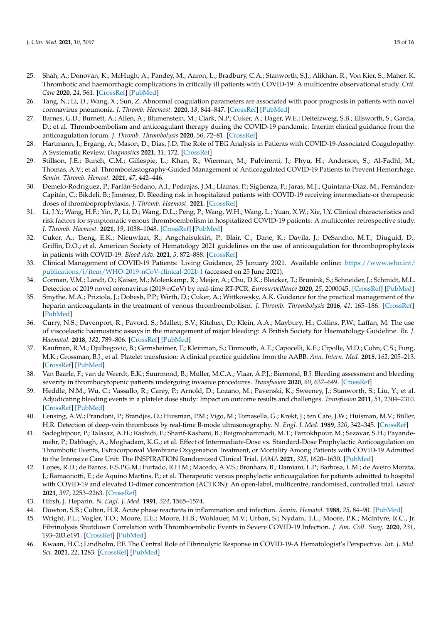- <span id="page-16-0"></span>25. Shah, A.; Donovan, K.; McHugh, A.; Pandey, M.; Aaron, L.; Bradbury, C.A.; Stanworth, S.J.; Alikhan, R.; Von Kier, S.; Maher, K. Thrombotic and haemorrhagic complications in critically ill patients with COVID-19: A multicentre observational study. *Crit. Care* **2020**, *24*, 561. [\[CrossRef\]](http://doi.org/10.1186/s13054-020-03260-3) [\[PubMed\]](http://www.ncbi.nlm.nih.gov/pubmed/32948243)
- <span id="page-16-1"></span>26. Tang, N.; Li, D.; Wang, X.; Sun, Z. Abnormal coagulation parameters are associated with poor prognosis in patients with novel coronavirus pneumonia. *J. Thromb. Haemost.* **2020**, *18*, 844–847. [\[CrossRef\]](http://doi.org/10.1111/jth.14768) [\[PubMed\]](http://www.ncbi.nlm.nih.gov/pubmed/32073213)
- <span id="page-16-2"></span>27. Barnes, G.D.; Burnett, A.; Allen, A.; Blumenstein, M.; Clark, N.P.; Cuker, A.; Dager, W.E.; Deitelzweig, S.B.; Ellsworth, S.; Garcia, D.; et al. Thromboembolism and anticoagulant therapy during the COVID-19 pandemic: Interim clinical guidance from the anticoagulation forum. *J. Thromb. Thrombolysis* **2020**, *50*, 72–81. [\[CrossRef\]](http://doi.org/10.1007/s11239-020-02138-z)
- <span id="page-16-3"></span>28. Hartmann, J.; Ergang, A.; Mason, D.; Dias, J.D. The Role of TEG Analysis in Patients with COVID-19-Associated Coagulopathy: A Systematic Review. *Diagnostics* **2021**, *11*, 172. [\[CrossRef\]](http://doi.org/10.3390/diagnostics11020172)
- <span id="page-16-4"></span>29. Stillson, J.E.; Bunch, C.M.; Gillespie, L.; Khan, R.; Wierman, M.; Pulvirenti, J.; Phyu, H.; Anderson, S.; Al-Fadhl, M.; Thomas, A.V.; et al. Thromboelastography-Guided Management of Anticoagulated COVID-19 Patients to Prevent Hemorrhage. *Semin. Thromb. Hemost.* **2021**, *47*, 442–446.
- <span id="page-16-5"></span>30. Demelo-Rodriguez, P.; Farfán-Sedano, A.I.; Pedrajas, J.M.; Llamas, P.; Sigüenza, P.; Jaras, M.J.; Quintana-Diaz, M.; Fernández-Capitán, C.; Bikdeli, B.; Jiménez, D. Bleeding risk in hospitalized patients with COVID-19 receiving intermediate-or therapeutic doses of thromboprophylaxis. *J. Thromb. Haemost.* **2021**. [\[CrossRef\]](http://doi.org/10.1111/jth.15400)
- <span id="page-16-6"></span>31. Li, J.Y.; Wang, H.F.; Yin, P.; Li, D.; Wang, D.L.; Peng, P.; Wang, W.H.; Wang, L.; Yuan, X.W.; Xie, J.Y. Clinical characteristics and risk factors for symptomatic venous thromboembolism in hospitalized COVID-19 patients: A multicenter retrospective study. *J. Thromb. Haemost.* **2021**, *19*, 1038–1048. [\[CrossRef\]](http://doi.org/10.1111/jth.15261) [\[PubMed\]](http://www.ncbi.nlm.nih.gov/pubmed/33534149)
- <span id="page-16-7"></span>32. Cuker, A.; Tseng, E.K.; Nieuwlaat, R.; Angchaisuksiri, P.; Blair, C.; Dane, K.; Davila, J.; DeSancho, M.T.; Diuguid, D.; Griffin, D.O.; et al. American Society of Hematology 2021 guidelines on the use of anticoagulation for thromboprophylaxis in patients with COVID-19. *Blood Adv.* **2021**, *5*, 872–888. [\[CrossRef\]](http://doi.org/10.1182/bloodadvances.2020003763)
- <span id="page-16-8"></span>33. Clinical Management of COVID-19 Patients: Living Guidance, 25 January 2021. Available online: [https://www.who.int/](https://www.who.int/publications/i/item/WHO-2019-nCoV-clinical-2021-1) [publications/i/item/WHO-2019-nCoV-clinical-2021-1](https://www.who.int/publications/i/item/WHO-2019-nCoV-clinical-2021-1) (accessed on 25 June 2021).
- <span id="page-16-9"></span>34. Corman, V.M.; Landt, O.; Kaiser, M.; Molenkamp, R.; Meijer, A.; Chu, D.K.; Bleicker, T.; Brünink, S.; Schneider, J.; Schmidt, M.L. Detection of 2019 novel coronavirus (2019-nCoV) by real-time RT-PCR. *Eurosurveillance* **2020**, *25*, 2000045. [\[CrossRef\]](http://doi.org/10.2807/1560-7917.ES.2020.25.3.2000045) [\[PubMed\]](http://www.ncbi.nlm.nih.gov/pubmed/31992387)
- <span id="page-16-10"></span>35. Smythe, M.A.; Priziola, J.; Dobesh, P.P.; Wirth, D.; Cuker, A.; Wittkowsky, A.K. Guidance for the practical management of the heparin anticoagulants in the treatment of venous thromboembolism. *J. Thromb. Thrombolysis* **2016**, *41*, 165–186. [\[CrossRef\]](http://doi.org/10.1007/s11239-015-1315-2) [\[PubMed\]](http://www.ncbi.nlm.nih.gov/pubmed/26780745)
- <span id="page-16-11"></span>36. Curry, N.S.; Davenport, R.; Pavord, S.; Mallett, S.V.; Kitchen, D.; Klein, A.A.; Maybury, H.; Collins, P.W.; Laffan, M. The use of viscoelastic haemostatic assays in the management of major bleeding: A British Society for Haematology Guideline. *Br. J. Haematol.* **2018**, *182*, 789–806. [\[CrossRef\]](http://doi.org/10.1111/bjh.15524) [\[PubMed\]](http://www.ncbi.nlm.nih.gov/pubmed/30073664)
- <span id="page-16-12"></span>37. Kaufman, R.M.; Djulbegovic, B.; Gernsheimer, T.; Kleinman, S.; Tinmouth, A.T.; Capocelli, K.E.; Cipolle, M.D.; Cohn, C.S.; Fung, M.K.; Grossman, B.J.; et al. Platelet transfusion: A clinical practice guideline from the AABB. *Ann. Intern. Med.* **2015**, *162*, 205–213. [\[CrossRef\]](http://doi.org/10.7326/M14-1589) [\[PubMed\]](http://www.ncbi.nlm.nih.gov/pubmed/25383671)
- <span id="page-16-13"></span>38. Van Baarle, F.; van de Weerdt, E.K.; Suurmond, B.; Müller, M.C.A.; Vlaar, A.P.J.; Biemond, B.J. Bleeding assessment and bleeding severity in thrombocytopenic patients undergoing invasive procedures. *Transfusion* **2020**, *60*, 637–649. [\[CrossRef\]](http://doi.org/10.1111/trf.15670)
- <span id="page-16-14"></span>39. Heddle, N.M.; Wu, C.; Vassallo, R.; Carey, P.; Arnold, D.; Lozano, M.; Pavenski, K.; Sweeney, J.; Stanworth, S.; Liu, Y.; et al. Adjudicating bleeding events in a platelet dose study: Impact on outcome results and challenges. *Transfusion* **2011**, *51*, 2304–2310. [\[CrossRef\]](http://doi.org/10.1111/j.1537-2995.2011.03181.x) [\[PubMed\]](http://www.ncbi.nlm.nih.gov/pubmed/21599672)
- <span id="page-16-15"></span>40. Lensing, A.W.; Prandoni, P.; Brandjes, D.; Huisman, P.M.; Vigo, M.; Tomasella, G.; Krekt, J.; ten Cate, J.W.; Huisman, M.V.; Büller, H.R. Detection of deep-vein thrombosis by real-time B-mode ultrasonography. *N. Engl. J. Med.* **1989**, *320*, 342–345. [\[CrossRef\]](http://doi.org/10.1056/NEJM198902093200602)
- <span id="page-16-16"></span>41. Sadeghipour, P.; Talasaz, A.H.; Rashidi, F.; Sharif-Kashani, B.; Beigmohammadi, M.T.; Farrokhpour, M.; Sezavar, S.H.; Payandemehr, P.; Dabbagh, A.; Moghadam, K.G.; et al. Effect of Intermediate-Dose vs. Standard-Dose Prophylactic Anticoagulation on Thrombotic Events, Extracorporeal Membrane Oxygenation Treatment, or Mortality Among Patients with COVID-19 Admitted to the Intensive Care Unit: The INSPIRATION Randomized Clinical Trial. *JAMA* **2021**, *325*, 1620–1630. [\[PubMed\]](http://www.ncbi.nlm.nih.gov/pubmed/33734299)
- <span id="page-16-17"></span>42. Lopes, R.D.; de Barros, E.S.P.G.M.; Furtado, R.H.M.; Macedo, A.V.S.; Bronhara, B.; Damiani, L.P.; Barbosa, L.M.; de Aveiro Morata, J.; Ramacciotti, E.; de Aquino Martins, P.; et al. Therapeutic versus prophylactic anticoagulation for patients admitted to hospital with COVID-19 and elevated D-dimer concentration (ACTION): An open-label, multicentre, randomised, controlled trial. *Lancet* **2021**, *397*, 2253–2263. [\[CrossRef\]](http://doi.org/10.1016/S0140-6736(21)01203-4)
- <span id="page-16-18"></span>43. Hirsh, J. Heparin. *N. Engl. J. Med.* **1991**, *324*, 1565–1574.
- <span id="page-16-19"></span>44. Dowton, S.B.; Colten, H.R. Acute phase reactants in inflammation and infection. *Semin. Hematol.* **1988**, *25*, 84–90. [\[PubMed\]](http://www.ncbi.nlm.nih.gov/pubmed/2455348)
- <span id="page-16-20"></span>45. Wright, F.L.; Vogler, T.O.; Moore, E.E.; Moore, H.B.; Wohlauer, M.V.; Urban, S.; Nydam, T.L.; Moore, P.K.; McIntyre, R.C., Jr. Fibrinolysis Shutdown Correlation with Thromboembolic Events in Severe COVID-19 Infection. *J. Am. Coll. Surg.* **2020**, *231*, 193–203.e191. [\[CrossRef\]](http://doi.org/10.1016/j.jamcollsurg.2020.05.007) [\[PubMed\]](http://www.ncbi.nlm.nih.gov/pubmed/32422349)
- <span id="page-16-21"></span>46. Kwaan, H.C.; Lindholm, P.F. The Central Role of Fibrinolytic Response in COVID-19-A Hematologist's Perspective. *Int. J. Mol. Sci.* **2021**, *22*, 1283. [\[CrossRef\]](http://doi.org/10.3390/ijms22031283) [\[PubMed\]](http://www.ncbi.nlm.nih.gov/pubmed/33525440)